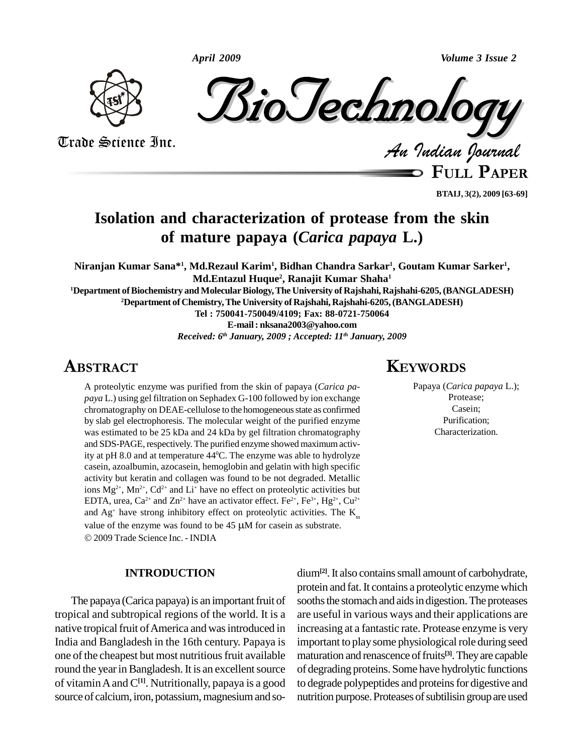



Trade Science Inc. Trade Science Inc.

*Indian Journal*

**FULL <sup>P</sup>APER**

**BTAIJ, 3(2), 2009 [63-69]**

# **Isolation and characterization of protease from the skin of mature papaya (***Carica papaya* **L.)**

Niranjan Kumar Sana\*<sup>1</sup>, Md.Rezaul Karim<sup>1</sup>, Bidhan Chandra Sarkar<sup>1</sup>, Goutam Kumar Sarker<sup>1</sup>, **Md.Entazul Huque 2 , Ranajit Kumar Shaha 1**

**<sup>1</sup>Department ofBiochemistry andMolecularBiology,The University of Rajshahi, Rajshahi-6205,(BANGLADESH) <sup>2</sup>Department of Chemistry,The University of Rajshahi, Rajshahi-6205,(BANGLADESH)**

**Tel : 750041-750049/4109; Fax: 88-0721-750064**

**E-mail: [nksana2003@yahoo.com](mailto:nksana2003@yahoo.com)**

*Received: 6 th January, 2009 ; Accepted: 11 th January, 2009* **EXPLORED STATE** 

# **ABSTRACT**

A proteolytic enzyme was purified from the skin of papaya (*Carica pa paya* L.) using gel filtration on Sephadex G-100 followed by ion exchange chromatography on DEAE-cellulose to the homogeneous state as confirmed by slab gel electrophoresis. The molecular weight of the purified enzyme was estimated to be 25 kDa and 24 kDa by gel filtration chromatography and SDS-PAGE, respectively. The purified enzyme showed maximum activity at pH 8.0 and at temperature 44 <sup>0</sup>C. The enzyme was able to hydrolyze casein, azoalbumin, azocasein, hemoglobin and gelatin with high specific activity but keratin and collagen was found to be not degraded. Metallic ions  $Mg^{2+}$ ,  $Mn^{2+}$ ,  $Cd^{2+}$  and  $Li^{+}$  have no effect on proteolytic activities but EDTA, urea, Ca<sup>2+</sup> and Zn<sup>2+</sup> have an activator effect. Fe<sup>2+</sup>, Fe<sup>3+</sup>, Hg<sup>2+</sup>, Cu<sup>2+</sup> and  $Ag<sup>+</sup>$  have strong inhibitory effect on proteolytic activities. The  $K<sub>m</sub>$ value of the enzyme was found to be 45  $\mu$ M for casein as substrate.<br>
value of the enzyme was found to be 45  $\mu$ M for casein as substrate. 2009 Trade Science Inc. - INDIA

### **INTRODUCTION**

The papaya (Carica papaya) is an important fruit of tropical and subtropical regions of the world. It is a native tropical fruit of America and was introduced in India and Bangladesh in the 16th century. Papaya is one of the cheapest but most nutritious fruit available round the year in Bangladesh. It is an excellent source of vitaminAand C**[1]**. Nutritionally, papaya is a good source of calcium, iron, potassium, magnesium and so-

dium<sup>[2]</sup>. It also contains small amount of carbohydrate, protein and fat.It contains a proteolytic enzyme which sooths the stomach and aids in digestion. The proteases are useful in various ways and their applications are increasing at a fantastic rate. Protease enzyme is very important to play some physiological role during seed maturation and renascence offruits **[3]**.Theyare capable of degrading proteins. Some have hydrolytic functions to degrade polypeptides and proteins for digestive and nutrition purpose. Proteases of subtilisin group are used

# **KEYWORDS**

Papaya (*Carica papaya* L.); Protease; Casein; Purification; Characterization.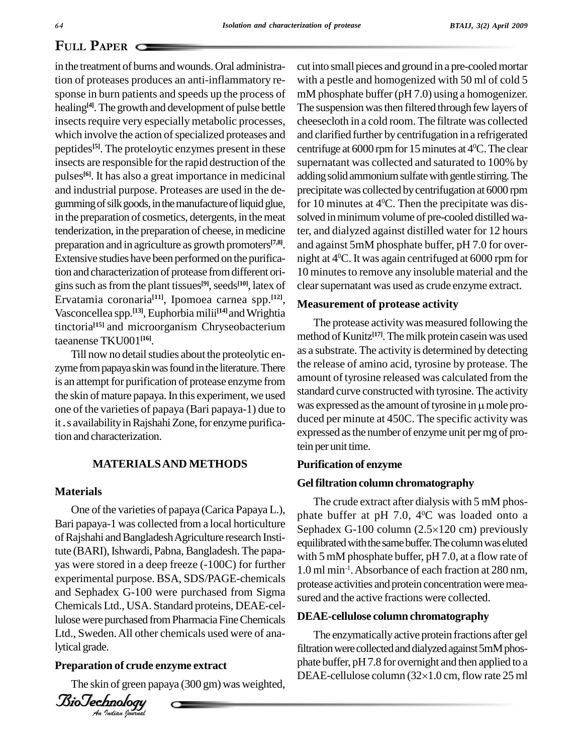# **PAPER**  $\subset$

in the treatment of burns and wounds. Oral administration of proteases produces an anti-inflammatory re-sponse in burn patients and speeds up the process of healing<sup>[4]</sup>. The growth and development of pulse bettle The su insects require very especially metabolic processes, which involve the action of specialized proteases and peptides<sup>[5]</sup>. The proteloytic enzymes present in these centri insects are responsible for the rapid destruction of the pulses **[6]**. It has also a great importance in medicinal and industrial purpose. Proteases are used in the de gumming of silk goods, in the manufacture of liquid glue, in the preparation of cosmetics, detergents, in the meat tenderization, in the preparation of cheese, in medicine preparation and in agriculture as growth promoters **[7,8]**. Extensive studies have been performed on the purification and characterization of protease fromdifferent ori gins such as from the plant tissues<sup>[9]</sup>, seeds<sup>[10]</sup>, latex of clear Ervatamia coronaria<sup>[11]</sup>, Ipomoea carnea spp.<sup>[12]</sup>, M Vasconcellea spp.<sup>[13]</sup>, Euphorbia milii<sup>[14]</sup> and Wrightia tinctoria<sup>[15]</sup> and microorganism Chryseobacterium 1ne prot taeanense TKU001 **[16]**.

Till now no detail studies about the proteolytic enzyme from papaya skin was found in the literature. There is an attempt for purification of protease enzyme from the skin of mature papaya. In this experiment, we used one of the varieties of papaya (Bari papaya-1) due to it.s availability in Rajshahi Zone, for enzyme purification and characterization.

## **MATERIALSAND METHODS**

#### **Materials**

and Sephadex G-100 were purchased from Sigma sured Ltd., Sweden. All other chemicals used were of ana-One of the varieties of papaya (Carica Papaya L.), Bari papaya-1 was collected from a local horticulture of Rajshahi and Bangladesh Agriculture research Institute (BARI), Ishwardi, Pabna, Bangladesh. The papayas were stored in a deep freeze (-100C) for further experimental purpose. BSA, SDS/PAGE-chemicals Chemicals Ltd., USA. Standard proteins, DEAE-cellulose were purchased from Pharmacia Fine Chemicals lytical grade.

### **Preparation of crude enzyme extract**



cut into small pieces and ground in a pre-cooledmortar with a pestle and homogenized with 50 ml of cold 5 mM phosphate buffer (pH 7.0) using a homogenizer. The suspension was then filtered through few layers of cheesecloth in a cold room. The filtrate was collected and clarified further bycentrifugation in a refrigerated centrifuge at  $6000$  rpm for 15 minutes at  $4^{\circ}$ C. The clear supernatant was collected and saturated to 100% by adding solid ammonium sulfate with gentle stirring. The precipitatewas collected bycentrifugation at 6000 rpm for 10 minutes at 4 <sup>0</sup>C. Then the precipitate was dis solved in minimum volume of pre-cooled distilled water, and dialyzed against distilled water for 12 hours and against 5mM phosphate buffer, pH 7.0 for over night at 4 <sup>0</sup>C. It was again centrifuged at 6000 rpm for 10 minutes to remove any insoluble material and the clear supernatant was used as crude enzyme extract.

### **Measurement of protease activity**

The protease activitywas measured following the method of Kunitz<sup>[17]</sup>. The milk protein casein was used as a substrate. The activity is determined by detecting the release of amino acid, tyrosine by protease. The amount of tyrosine released was calculated from the standard curve constructed with tyrosine. The activity was expressed as the amount of tyrosine in  $\mu$  mole produced per minute at 450C. The specific activity was expressed asthe number of enzyme unit permg of protein per unit time.

#### **Purification of enzyme**

#### **Gelfiltration column chromatography**

The crude extract after dialysis with 5 mM phos phate buffer at pH 7.0, 4 <sup>0</sup>C wasloaded onto a Sephadex G-100 column  $(2.5\times120$  cm) previously equilibrated with the same buffer. The column was eluted with 5 mM phosphate buffer, pH 7.0, at a flow rate of 1.0 ml min -1 .Absorbance of each fraction at 280 nm, protease activities and protein concentration were measured and the active fractions were collected.

#### **DEAE-cellulose column chromatography**

The skin of green papaya (300 gm) was weighted, DEAE-cellulose column (32×1.0 cm, flow rate 25 ml The enzymatically active protein fractions after gel filtration were collected and dialyzed against 5mM phos-<br>phate buffer, pH 7.8 for overnight and then applied to a<br>DEAE-cellulose column (32×1.0 cm, flow rate 25 ml phate buffer, pH7.8 for overnight and then applied to a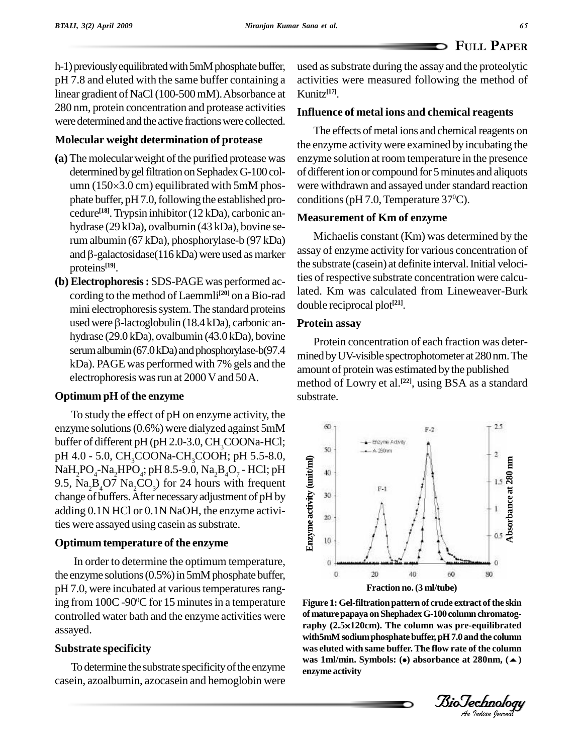h-1) previously equilibrated with 5mM phosphate buffer, pH 7.8 and eluted with the same buffer containing a linear gradient of NaCl(100-500mM).Absorbance at 280 nm, protein concentration and protease activities were determined and the active fractions were collected.

# **Molecular weight determination of protease**

- (a) The molecular weight of the purified protease was determined by gel filtration on Sephadex G-100 col- of d The molecular weight of the purified protease was enzyme<br>determined by gel filtration on Sephadex G-100 col- of differ<br>umn (150×3.0 cm) equilibrated with 5mM phos- were wi phate buffer, pH 7.0, following the established procedure<sup>[18]</sup>. Trypsin inhibitor (12 kDa), carbonic anhydrase (29 kDa), ovalbumin (43 kDa), bovine serum albumin (67 kDa), phosphorylase-b (97 kDa) and  $\beta$ -galactosidase(116 kDa) were used as marker proteins **[19]**.
- **(b) Electrophoresis:** SDS-PAGE was performed according to the method of Laemmli<sup>[20]</sup> on a Bio-rad <sup>lated.</sup> mini electrophoresis system. The standard proteins cloud cording to the method of Laemmli $^{[20]}$  on a Bio-rad  $^{-1}$  late<br>mini electrophoresis system. The standard proteins  $^{-1}$  dou<br>used were  $\beta$ -lactoglobulin (18.4 kDa), carbonic anhydrase (29.0 kDa), ovalbumin (43.0 kDa), bovine serum albumin (67.0 kDa) and phosphorylase-b(97.4 kDa). PAGE was performed with 7% gels and the electrophoresis was run at 2000 V and 50 A.

# **Optimum pH** of the enzyme

To study the effect of pH on enzyme activity, the enzyme solutions(0.6%) were dialyzed against 5mM buffer of different pH (pH 2.0-3.0,  $CH_3COONa-HCl$ ;<br>pH 4.0 - 5.0, CH<sub>3</sub>COONa-CH<sub>3</sub>COOH; pH 5.5-8.0, pH 4.0 - 5.0, CH<sub>3</sub>COONa-CH<sub>3</sub>COOH; pH 5.5-8.0,<br>NaH<sub>2</sub>PO<sub>4</sub>-Na<sub>2</sub>HPO<sub>4</sub>; pH 8.5-9.0, Na<sub>2</sub>B<sub>4</sub>O<sub>7</sub> - HCl; pH 9.5,  $Na<sub>2</sub>B<sub>4</sub>O7 Na<sub>3</sub>CO<sub>3</sub>$  for 24 hours with frequent change of buffers. After necessary adjustment of pH by  $\frac{2}{5}$   $\frac{30}{5}$ adding  $0.1N$  HCl or  $0.1N$  NaOH, the enzyme activities were assayed using casein as substrate.

# **Optimum temperature of the enzyme**

In order to determine the optimum temperature, the enzyme solutions  $(0.5\%)$  in 5mM phosphate buffer, pH 7.0, were incubated at various temperatures ranging from  $100C - 90\degree C$  for 15 minutes in a temperature Figure controlled water bath and the enzyme activities were of mature papaya on Shephadex G-100 column chromatog-<br>raphy (2.5×120cm). The column was pre-equilibrated assayed.

# **Substrate specificity**

To determine the substrate specificity of the enzyme casein, azoalbumin, azocasein and hemoglobin were used assubstrate during the assay and the proteolytic activities were measured following the method of Kunitz **[17]**.

# **Influence of metal ions and chemical reagents**

The effects of metal ions and chemical reagents on the enzyme activitywere examined by incubating the enzyme solution at room temperature in the presence of different ion or compound for 5 minutes and aliquots were withdrawn and assayed under standard reaction conditions (pH 7.0, Temperature  $37^{\circ}$ C).

# **Measurement of Km of enzyme**

Michaelis constant (Km) was determined by the assay of enzyme activity for various concentration of the substrate (casein) at definite interval.Initial velocities of respective substrate concentration were calculated. Km was calculated from Lineweaver-Burk double reciprocal plot **[21]**.

# **Protein assay**

Protein concentration of each fraction was deter mined byUV-visible spectrophotometer at280nm.The amount of protein was estimated bythe published method of Lowry et al. **[22]**, using BSA as a standard substrate.



BioTechnologyBioTechnology**Figure 1:Gel-filtrationpattern of crude extract ofthe skin** *An***with5mMsodiumphosphatebuffer,pH7.0 andthe column ofmaturepapaya onShephadexG-100columnchromatog-** Figure 1: Gel-filtration pattern of crude extract of the skin<br>of mature papaya on Shephadex G-100 column chromatog-<br>raphy (2.5×120cm). The column was pre-equilibrated **was eluted with same buffer. The flow rate of the column was 1ml/min. Symbols: () absorbance at 280nm, () enzyme activity**

*Indian Journal*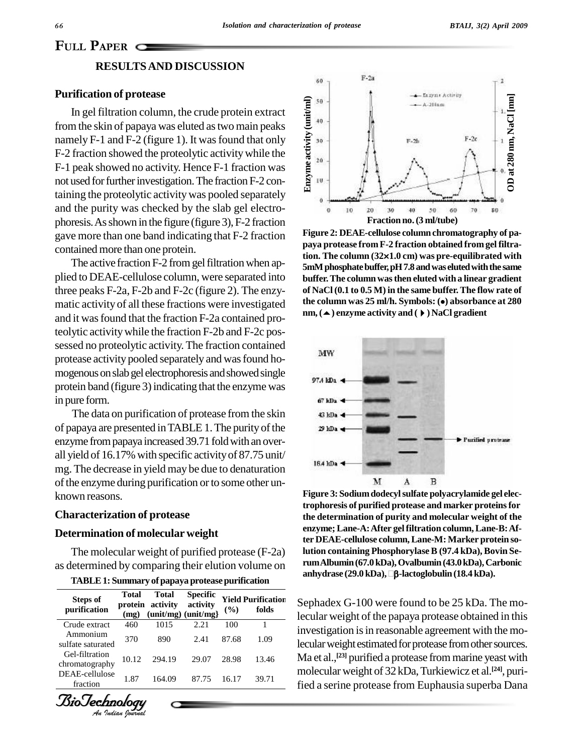# **P**APER C **RESULTSAND DISCUSSION**

## **Purification of protease**

In gel filtration column, the crude protein extract from the skin of papaya was eluted as two main peaks  $\frac{1}{5}$ <sup>40</sup> namely F-1 and F-2 (figure 1). It was found that only F-2 fraction showed the proteolytic activity while the F-1 peak showed no activity. Hence F-1 fraction was not used for further investigation. The fraction F-2 containing the proteolytic activity was pooled separately and the purity was checked by the slab gel electro phoresis.Asshown in the figure (figure 3), F-2 fraction gave more than one band indicating thatF-2 fraction contained more than one protein.

plied to DEAE-cellulose column, were separated into three peaks F-2a, F-2b and F-2c (figure 2). The enzy matic activity of all these fractions were investigated and it was found that the fraction F-2a contained proteolytic activitywhile the fraction F-2b and F-2c pos sessed no proteolytic activity. The fraction contained protease activity pooled separately and was found homogenous on slab gel electrophoresis and showed single  $\frac{97.4 \text{ m}}{27.4 \text{ m}}$ protein band (figure 3) indicating that the enzyme was in pure form.

The data on purification of protease from the skin of papaya are presented in TABLE 1. The purity of the  $\mathcal{P}$  kDa enzyme from papaya increased 39.71 fold with an overall yield of 16.17% with specific activityof 87.75 unit/ may be decrease in yield may be due to denaturation of the enzyme during purification or to some other unknown reasons.

#### **Characterization of protease**

### **Determination of molecular weight**

The molecular weight of purified protease (F-2a)

|  |  | TABLE 1: Summary of papaya protease purification |  |
|--|--|--------------------------------------------------|--|
|--|--|--------------------------------------------------|--|

| <b>Steps of</b><br>purification  | <b>Total</b><br>protein<br>(mg) | <b>Total</b><br>activity<br>$(unit/mg)$ $(unit/mg)$ | <b>Specific</b><br>activity | $($ %) | <b>Yield Purification</b><br>folds |
|----------------------------------|---------------------------------|-----------------------------------------------------|-----------------------------|--------|------------------------------------|
| Crude extract                    | 460                             | 1015                                                | 2.21                        | 100    |                                    |
| Ammonium<br>sulfate saturated    | 370                             | 890                                                 | 2.41                        | 87.68  | 1.09                               |
| Gel-filtration<br>chromatography | 10.12                           | 294.19                                              | 29.07                       | 28.98  | 13.46                              |
| DEAE-cellulose<br>fraction       | 1.87                            | 164.09                                              | 87.75                       | 16.17  | 39.71                              |
|                                  |                                 |                                                     |                             |        |                                    |

*Indian Journal*



 $T$  tion. The column  $(32\times1.0 \text{ cm})$  was pre-equilibrated with<br>The active fraction F-2 from gel filtration when ap-<br> $T$  and was eluted with the same **Figure 2: DEAE-cellulose column chromatography of pa paya protease from F-2 fraction obtained from gel filtra-**Figure 2: DEAE-cellulose column chromatography of pa-<br>paya protease from F-2 fraction obtained from gel filtra-<br>tion. The column (32×1.0 cm) was pre-equilibrated with **5mM** phosphate buffer, pH 7.8 and was eluted with the same **buffer.The columnwasthen eluted with a linear gradient of NaCl (0.1 to 0.5 M) in the same buffer.The flow rate of the column was <sup>25</sup> ml/h. Symbols: () absorbance at <sup>280</sup> nm,() enzyme activity and () NaCl gradient**



as determined by comparing their elution volume on  $\frac{\text{rumAlbumi}(67.0 \text{ kDa})}{\text{anhydroste}(29.0 \text{ kDa})}$ .  $\frac{\text{Ca} \cdot \text{m}}{\text{Ca} \cdot \text{m}}$ **Figure 3: Sodiumdodecylsulfate polyacrylamide gel electrophoresis of purified protease and marker proteinsfor the determination of purity and molecular weight of the enzyme;Lane-A:After gelfiltration column,Lane-B:After DEAE-cellulose column,Lane-M: Marker protein solution containing Phosphorylase B (97.4 kDa), Bovin Se- anhydrase (29.0 kDa),-lactoglobulin(18.4 kDa).rumAlbumin(67.0kDa),Ovalbumin(43.0kDa),Carbonic**

Sephadex G-100 were found to be 25 kDa. The mo-**Purification** lecular weight of the papaya protease obtained in this investigation is in reasonable agreement with the molecular weight estimated for protease from other sources. Ma et al., **[23]** purified a protease frommarine yeast with molecular weight of 32 kDa, Turkiewicz et al.<sup>[24]</sup>, purified a serine protease from Euphausia superba Dana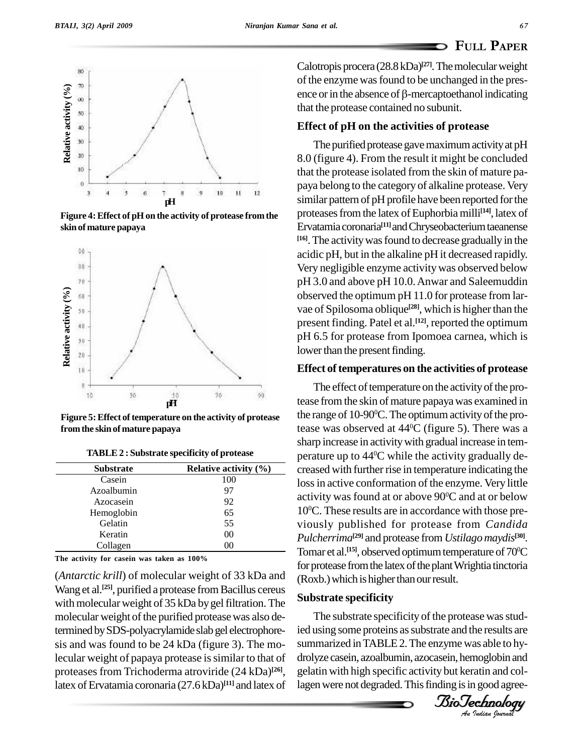

**Figure 4:Effect of pH on the activity of protease fromthe skin of mature papaya**



**Figure 5:** Effect of temperature on the activity of protease **fromthe skinof mature papaya**

|  |  |  |  |  | TABLE 2 : Substrate specificity of protease |  |
|--|--|--|--|--|---------------------------------------------|--|
|--|--|--|--|--|---------------------------------------------|--|

| <b>Substrate</b> | Relative activity $(\%)$ |  |  |
|------------------|--------------------------|--|--|
| Casein           | 100                      |  |  |
| Azoalbumin       | 97                       |  |  |
| Azocasein        | 92                       |  |  |
| Hemoglobin       | 65                       |  |  |
| Gelatin          | 55                       |  |  |
| Keratin          | 0 <sup>0</sup>           |  |  |
| Collagen         | 00                       |  |  |

**The activity for casein was taken as 100%**

(*Antarctic krill*) of molecular weight of 33 kDa and Wang et al.<sup>[25]</sup>, purified a protease from Bacillus cereus  $\overline{a}$ with molecular weight of 35 kDa by gel filtration. The molecular weight of the purified protease was also determined by SDS-polyacrylamide slab gel electrophoresis and was found to be 24 kDa (figure 3). The molecular weight of papaya protease is similar to that of proteases from Trichoderma atroviride (24 kDa) **[26]**, latex of Ervatamia coronaria (27.6 kDa)<sup>[11]</sup> and latex of lager

Calotropis procera (28.8 kDa) **[27]**.Themolecularweight of the enzyme was found to be unchanged in the presence or in the absence of  $\beta$ -mercaptoethanol indicating that the protease contained no subunit.

## **Effect of pH on the activities of protease**

The purified protease gave maximum activity at pH 8.0 (figure 4). From the result it might be concluded that the protease isolated from the skin of mature pa paya belong to the category of alkaline protease. Very similar pattern of pH profile have been reported for the proteases from the latex of Euphorbia milli<sup>[14]</sup>, latex of Ervatamia coronaria **[11]**andChryseobacteriumtaeanense **[16]**.The activitywasfound to decrease gradually in the acidic pH, but in the alkaline pH it decreased rapidly. Very negligible enzyme activitywas observed below pH 3.0 and above pH 10.0.Anwar and Saleemuddin observed the optimum pH 11.0 for protease from lar vae of Spilosoma oblique<sup>[28]</sup>, which is higher than the present finding. Patel et al. **[12]**, reported the optimum pH 6.5 for protease from Ipomoea carnea, which is lower than the present finding.

#### **Effect** of temperatures on the activities of protease

The effect of temperature on the activity of the protease from the skin of mature papaya was examined in the range of 10-90 <sup>0</sup>C.The optimumactivityofthe protease was observed at 44 <sup>0</sup>C (figure 5). There was a sharp increase in activitywith gradual increase in tem perature up to 44 <sup>0</sup>C while the activity gradually de creased with further rise in temperature indicating the loss in active conformation of the enzyme. Very little activity was found at or above 90 <sup>0</sup>C and at or below 10 <sup>0</sup>C. These results are in accordance with those pre viously published for protease from *Candida Pulcherrima* **[29]** and protease from *Ustilagomaydis* **[30]**. Tomar et al.<sup>[15]</sup>, observed optimum temperature of 70<sup>o</sup>C for protease from the latex of the plant Wrightia tinctoria (Roxb.) which is higher than our result.

## **Substrate specificity**

*An*ied using some proteins assubstrate and the results are The substrate specificity of the protease was studsummarized inTABLE2.The enzyme was able to hy drolyze casein, azoalbumin, azocasein, hemoglobin and gelatin with high specific activity but keratin and collagen were not degraded. This finding is in good agree-

*IsioTechnology*<br>An Indian Journal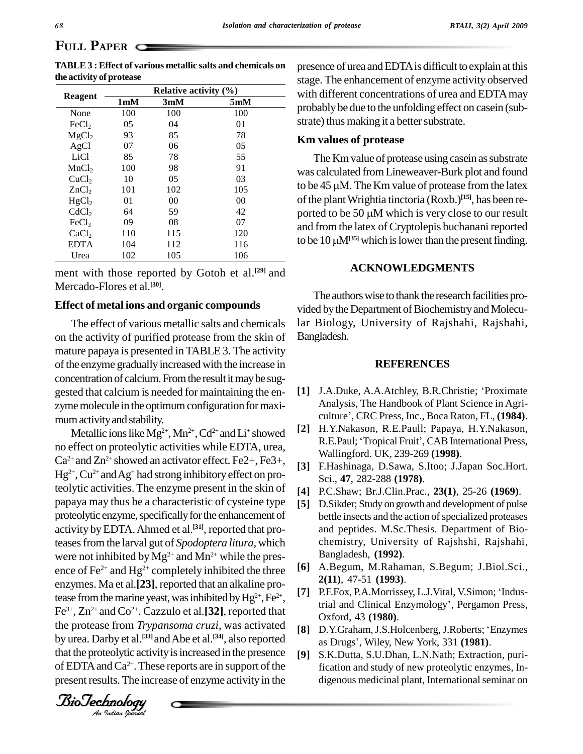# **PAPER** C

|                   |                  | Relative activity $(\%)$ |     |  |
|-------------------|------------------|--------------------------|-----|--|
| Reagent           | 1 <sub>m</sub> M | 3mM                      | 5mM |  |
| None              | 100              | 100                      | 100 |  |
| FeCl <sub>2</sub> | 05               | 04                       | 01  |  |
| MgCl <sub>2</sub> | 93               | 85                       | 78  |  |
| AgCl              | 07               | 06                       | 05  |  |
| LiCl              | 85               | 78                       | 55  |  |
| MnCl <sub>2</sub> | 100              | 98                       | 91  |  |
| CuCl <sub>2</sub> | 10               | 05                       | 03  |  |
| ZnCl <sub>2</sub> | 101              | 102                      | 105 |  |
| HgCl <sub>2</sub> | 01               | 00                       | 00  |  |
| CdCl <sub>2</sub> | 64               | 59                       | 42  |  |
| FeCl <sub>3</sub> | 09               | 08                       | 07  |  |
| CaCl <sub>2</sub> | 110              | 115                      | 120 |  |
| <b>EDTA</b>       | 104              | 112                      | 116 |  |
| Urea              | 102              | 105                      | 106 |  |

**TABLE3 : Effect of various metallic salts and chemicals on the activity of protease**

ment with those reported by Gotoh et al. **[29]** and Mercado-Flores et al. **[30]**.

## **Effect of metal ions and organic compounds**

The effect of various metallic salts and chemicals on the activity of purified protease from the skin of mature papaya is presented inTABLE 3. The activity of the enzyme gradually increased with the increase in concentration of calcium. From the result it may be suggested that calcium is needed for maintaining the enzyme molecule in the optimum configuration for maximumactivityand stability.

tease from the marine yeast, was inhibited by  $Hg^{2+}$ ,  $Fe^{2+}$ , [7] by urea. Darby et al.<sup>[33]</sup> and Abe et al.<sup>[34]</sup>, also reported as Metallic ions like Mg<sup>2+</sup>, Mn<sup>2+</sup>, Cd<sup>2+</sup> and Li<sup>+</sup> showed  $\begin{bmatrix} 2 \end{bmatrix}$ no effect on proteolytic activities while EDTA, urea,  $Ca^{2+}$  and  $Zn^{2+}$  showed an activator effect. Fe2+, Fe3+,  $\overline{a}$  $Hg^{2+}$ , Cu<sup>2+</sup> and Ag<sup>+</sup> had strong inhibitory effect on proteolytic activities. The enzyme present in the skin of papaya may thus be a characteristic of cysteine type proteolytic enzyme, specifically for the enhancement of activity by EDTA. Ahmed et al.<sup>[31]</sup>, reported that proteasesfrom the larval gut of *Spodoptera litura,* which were not inhibited by  $Mg^{2+}$  and  $Mn^{2+}$  while the presence of Fe<sup>2+</sup> and Hg<sup>2+</sup> completely inhibited the three  $[6]$ enzymes. Ma et al.<sup>[23]</sup>, reported that an alkaline pro-Fe 3+ , Zn 2+ and Co 2+ . Cazzulo et al.**[32]**, reported that the protease from *Trypansoma cruzi*, was activated that the proteolytic activity is increased in the presence  $\lceil 9 \rceil$ of EDTA and  $Ca^{2+}$ . These reports are in support of the f present results. The increase of enzyme activity in the

presence of urea andEDTAis difficult to explain at this stage. The enhancement of enzyme activity observed with different concentrations of urea and EDTAmay probably be due to the unfolding effect on casein (substrate) thus making it a better substrate.

### **Km values of protease**

The Km value of protease using casein as substrate was calculated fromLineweaver-Burk plot and found The Km value of protease using casein as substrate<br>was calculated from Lineweaver-Burk plot and found<br>to be 45  $\mu$ M. The Km value of protease from the latex of the plant Wrightia tinctoria  $(Roxb.)$ <sup>[15]</sup>, has been reto be 45 µM. The Km value of protease from the latex<br>of the plant Wrightia tinctoria (Roxb.)<sup>[15]</sup>, has been re-<br>ported to be 50 µM which is very close to our result and from the latex of Cryptolepis buchanani reported ported to be 50  $\mu$ M which is very close to our result<br>and from the latex of Cryptolepis buchanani reported<br>to be 10  $\mu$ M<sup>[35]</sup> which is lower than the present finding.

## **ACKNOWLEDGMENTS**

The authors wise to thank the research facilities provided by the Department of Biochemistry and Molecular Biology, University of Rajshahi, Rajshahi, Bangladesh.

#### **REFERENCES**

- **[1]** J.A.Duke, A.A.Atchley, B.R.Christie; <sup>ë</sup>Proximate Analysis, The Handbook of Plant Science in Agri- J.A.Duke, A.A.Atchley, B.R.Christie; 'Proximate<br>Analysis, The Handbook of Plant Science in Agri-<br>culture', CRC Press, Inc., Boca Raton, FL, (**1984**).
- **[2]** H.Y.Nakason, R.E.Paull; Papaya, H.Y.Nakason, culture', CRC Press, Inc., Boca Raton, FL, (**1984**).<br>H.Y.Nakason, R.E.Paull; Papaya, H.Y.Nakason,<br>R.E.Paul; 'Tropical Fruit', CAB International Press, Wallingford. UK, 239-269 **(1998)**.
- **[3]** F.Hashinaga, D.Sawa, S.Itoo; J.Japan Soc.Hort. Sci., **47**, 282-288 **(1978)**.
- **[4]** P.C.Shaw; Br.J.Clin.Prac., **23(1)**, 25-26 **(1969)**.
- **[5]** D.Sikder; Study on growth and development of pulse bettle insects and the action of specialized proteases and peptides. M.Sc.Thesis. Department of Bio chemistry, University of Rajshshi, Rajshahi, Bangladesh, **(1992)**.
- **[6]** A.Begum, M.Rahaman, S.Begum; J.Biol.Sci., **2(11)**, 47-51 **(1993)**.<br>**[7]** P.F.Fox, P.A.Morrissey, L.J.Vital, V.Simon; 'Indus-**2(11)**, 47-51 **(1993)**.
- 2(11), 47-51 (1993).<br>
[7] P.F.Fox, P.A.Morrissey, L.J.Vital, V.Simon; 'Industrial and Clinical Enzymology', Pergamon Press, Oxford, 43 **(1980)**. trial and Clinical Enzymology', Pergamon Press,<br>Oxford, 43 (**1980**).<br>**[8]** D.Y.Graham, J.S.Holcenberg, J.Roberts; 'Enzymes
	- Oxford, 43 (**1980**).<br>D.Y.Graham, J.S.Holcenberg, J.Roberts; 'Enzy<br>as Drugs', Wiley, New York, 331 (**1981**).
	- **[9]** S.K.Dutta, S.U.Dhan, L.N.Nath; Extraction, purification and study of new proteolytic enzymes, In digenous medicinal plant, International seminar on

*Indian Journal*